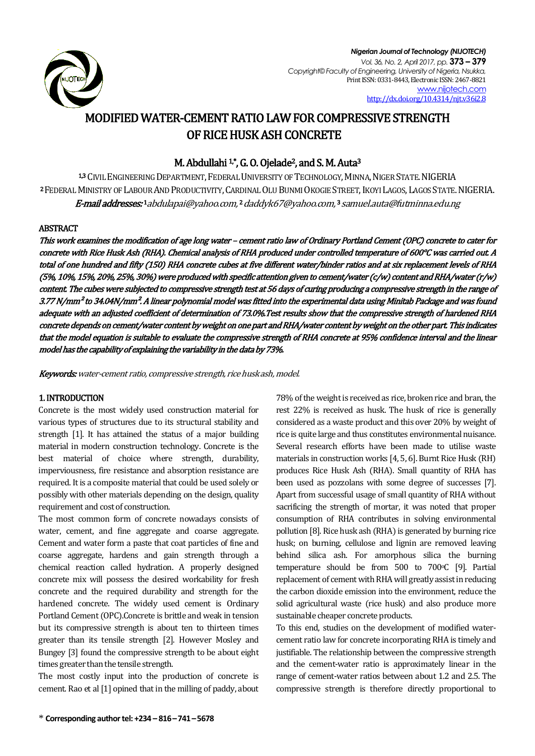

#### *Nigerian Journal of Technology (NIJOTECH) Vol. 36, No. 2, April 2017, pp.* **373 – 379** *Copyright© Faculty of Engineering, University of Nigeria, Nsukka,*  Print ISSN: 0331-8443, Electronic ISSN: 2467-8821 [www.nijotech.com](http://www.nijotech.com/) [http://dx.doi.org/10.4314/njt.v36i2.8](http://dx.doi.org/10.4314/njt.v36i2.1)

# MODIFIED WATER-CEMENT RATIO LAW FOR COMPRESSIVE STRENGTH OF RICE HUSK ASH CONCRETE

# M. Abdullahi  $1^*$ , G. O. Ojelade<sup>2</sup>, and S. M. Auta<sup>3</sup>

13 CIVIL ENGINEERING DEPARTMENT, FEDERAL UNIVERSITY OF TECHNOLOGY, MINNA, NIGER STATE, NIGERIA 2 FEDERAL MINISTRY OF LABOUR AND PRODUCTIVITY, CARDINAL OLU BUNMI OKOGIE STREET, IKOYI LAGOS, LAGOS STATE. NIGERIA. **E-mail addresses: '**[abdulapai@yahoo.com,](mailto:abdulapai@yahoo.com) ' [daddyk67@yahoo.com,](mailto:2daddyk67@yahoo.com) ' samuel.aut[a@futminna.edu.ng](mailto:ty.tsado@futminna.edu.ng)

### ABSTRACT

This work examines the modification of age long water – cement ratio law of Ordinary Portland Cement (OPC) concrete to cater for concrete with Rice Husk Ash (RHA). Chemical analysis of RHA produced under controlled temperature of 600°C was carried out. A total of one hundred and fifty (150) RHA concrete cubes at five different water/binder ratios and at six replacement levels of RHA (5%, 10%, 15%, 20%, 25%, 30%) were produced with specific attention given to cement/water (c/w) content and RHA/water (r/w) content. The cubes were subjected to compressive strength test at 56 days of curing producing a compressive strength in the range of 3.77 N/mm² to 34.04N/mm². A linear polynomial model was fitted into the experimental data using Minitab Package and was found adequate with an adjusted coefficient of determination of 73.0%.Test results show that the compressive strength of hardened RHA concrete depends on cement/water content by weight on one part and RHA/water content by weight on the other part. This indicates that the model equation is suitable to evaluate the compressive strength of RHA concrete at 95% confidence interval and the linear model has the capability of explaining the variability in the data by 73%.

Keywords: water-cement ratio, compressive strength, rice husk ash, model.

# 1. INTRODUCTION

Concrete is the most widely used construction material for various types of structures due to its structural stability and strength [1]. It has attained the status of a major building material in modern construction technology. Concrete is the best material of choice where strength, durability, imperviousness, fire resistance and absorption resistance are required. It is a composite material that could be used solely or possibly with other materials depending on the design, quality requirement and cost of construction.

The most common form of concrete nowadays consists of water, cement, and fine aggregate and coarse aggregate. Cement and water form a paste that coat particles of fine and coarse aggregate, hardens and gain strength through a chemical reaction called hydration. A properly designed concrete mix will possess the desired workability for fresh concrete and the required durability and strength for the hardened concrete. The widely used cement is Ordinary Portland Cement (OPC).Concrete is brittle and weak in tension but its compressive strength is about ten to thirteen times greater than its tensile strength [2]. However Mosley and Bungey [3] found the compressive strength to be about eight times greater than the tensile strength.

The most costly input into the production of concrete is cement. Rao et al [1] opined that in the milling of paddy, about 78% of the weight is received as rice, broken rice and bran, the rest 22% is received as husk. The husk of rice is generally considered as a waste product and this over 20% by weight of rice is quite large and thus constitutes environmental nuisance. Several research efforts have been made to utilise waste materials in construction works [4, 5, 6]. Burnt Rice Husk (RH) produces Rice Husk Ash (RHA). Small quantity of RHA has been used as pozzolans with some degree of successes [7]. Apart from successful usage of small quantity of RHA without sacrificing the strength of mortar, it was noted that proper consumption of RHA contributes in solving environmental pollution [8]. Rice husk ash (RHA) is generated by burning rice husk; on burning, cellulose and lignin are removed leaving behind silica ash. For amorphous silica the burning temperature should be from  $500$  to  $700^{\circ}$ C [9]. Partial replacement of cement with RHA will greatly assist in reducing the carbon dioxide emission into the environment, reduce the solid agricultural waste (rice husk) and also produce more sustainable cheaper concrete products.

To this end, studies on the development of modified watercement ratio law for concrete incorporating RHA is timely and justifiable. The relationship between the compressive strength and the cement-water ratio is approximately linear in the range of cement-water ratios between about 1.2 and 2.5. The compressive strength is therefore directly proportional to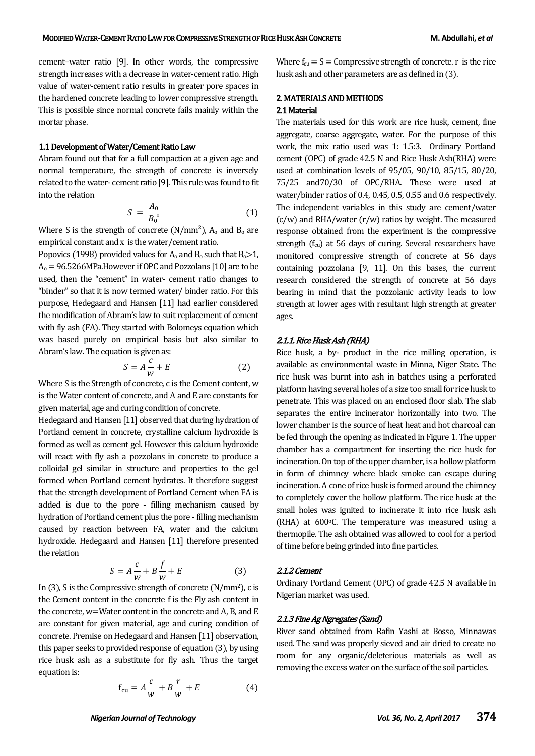cement–water ratio [9]. In other words, the compressive strength increases with a decrease in water-cement ratio. High value of water-cement ratio results in greater pore spaces in the hardened concrete leading to lower compressive strength. This is possible since normal concrete fails mainly within the mortar phase.

#### 1.1 Development of Water/Cement Ratio Law

Abram found out that for a full compaction at a given age and normal temperature, the strength of concrete is inversely related to the water- cement ratio [9]. This rule was found to fit into the relation

$$
S = \frac{A_0}{B_0^*} \tag{1}
$$

Where S is the strength of concrete  $(N/mm<sup>2</sup>)$ ,  $A_0$  and  $B_0$  are empirical constant and x is thewater/cement ratio.

Popovics (1998) provided values for  $A_0$  and  $B_0$  such that  $B_0 > 1$ ,  $A<sub>0</sub> = 96.5266 MPa$ . However if OPC and Pozzolans [10] are to be used, then the "cement" in water- cement ratio changes to "binder" so that it is now termed water/ binder ratio. For this purpose, Hedegaard and Hansen [11] had earlier considered the modification of Abram's law to suit replacement of cement with fly ash (FA). They started with Bolomeys equation which was based purely on empirical basis but also similar to Abram's law. The equation is given as:

$$
S = A \frac{c}{w} + E \tag{2}
$$

Where S is the Strength of concrete, c is the Cement content, w is the Water content of concrete, and A and E are constants for given material, age and curing condition of concrete.

Hedegaard and Hansen [11] observed that during hydration of Portland cement in concrete, crystalline calcium hydroxide is formed as well as cement gel. However this calcium hydroxide will react with fly ash a pozzolans in concrete to produce a colloidal gel similar in structure and properties to the gel formed when Portland cement hydrates. It therefore suggest that the strength development of Portland Cement when FA is added is due to the pore - filling mechanism caused by hydration of Portland cement plus the pore - filling mechanism caused by reaction between FA, water and the calcium hydroxide. Hedegaard and Hansen [11] therefore presented the relation

$$
S = A\frac{c}{w} + B\frac{f}{w} + E\tag{3}
$$

In  $(3)$ , S is the Compressive strength of concrete  $(N/mm<sup>2</sup>)$ , c is the Cement content in the concrete f is the Fly ash content in the concrete, w=Water content in the concrete and A, B, and E are constant for given material, age and curing condition of concrete. Premise on Hedegaard and Hansen [11] observation, this paper seeks to provided response of equation (3), by using rice husk ash as a substitute for fly ash. Thus the target equation is:

$$
f_{\text{cu}} = A\frac{c}{w} + B\frac{r}{w} + E \tag{4}
$$

Where  $f_{\text{cu}} = S =$  Compressive strength of concrete. r is the rice husk ash and other parameters are as defined in (3).

#### 2. MATERIALS AND METHODS

#### 2.1 Material

The materials used for this work are rice husk, cement, fine aggregate, coarse aggregate, water. For the purpose of this work, the mix ratio used was 1: 1.5:3. Ordinary Portland cement (OPC) of grade 42.5 N and Rice Husk Ash(RHA) were used at combination levels of 95/05, 90/10, 85/15, 80/20, 75/25 and70/30 of OPC/RHA. These were used at water/binder ratios of 0.4, 0.45, 0.5, 0.55 and 0.6 respectively. The independent variables in this study are cement/water  $(c/w)$  and RHA/water  $(r/w)$  ratios by weight. The measured response obtained from the experiment is the compressive strength  $(f<sub>cu</sub>)$  at 56 days of curing. Several researchers have monitored compressive strength of concrete at 56 days containing pozzolana [9, 11]. On this bases, the current research considered the strength of concrete at 56 days bearing in mind that the pozzolanic activity leads to low strength at lower ages with resultant high strength at greater ages.

#### 2.1.1. Rice Husk Ash (RHA)

Rice husk, a by- product in the rice milling operation, is available as environmental waste in Minna, Niger State. The rice husk was burnt into ash in batches using a perforated platform having several holes of a size too small for rice husk to penetrate. This was placed on an enclosed floor slab. The slab separates the entire incinerator horizontally into two. The lower chamber is the source of heat heat and hot charcoal can be fed through the opening as indicated in Figure 1. The upper chamber has a compartment for inserting the rice husk for incineration. On top of the upper chamber, is a hollow platform in form of chimney where black smoke can escape during incineration. A cone of rice husk is formed around the chimney to completely cover the hollow platform. The rice husk at the small holes was ignited to incinerate it into rice husk ash (RHA) at 600°C. The temperature was measured using a thermopile. The ash obtained was allowed to cool for a period of time before being grinded into fine particles.

#### 2.1.2 Cement

Ordinary Portland Cement (OPC) of grade 42.5 N available in Nigerian market was used.

#### 2.1.3 Fine Ag Ngregates (Sand)

River sand obtained from Rafin Yashi at Bosso, Minnawas used. The sand was properly sieved and air dried to create no room for any organic/deleterious materials as well as removing the excess water on the surface of the soil particles.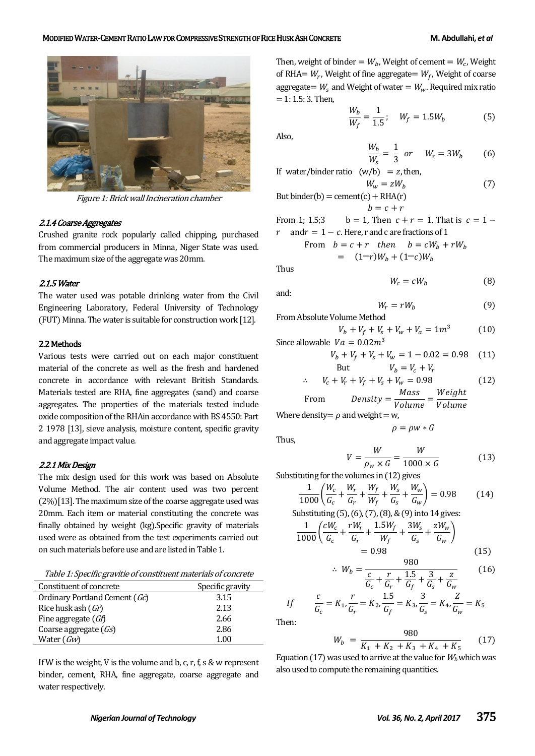

Figure 1: Brick wall Incineration chamber

#### 2.1.4 Coarse Aggregates

Crushed granite rock popularly called chipping, purchased from commercial producers in Minna, Niger State was used. The maximum size of the aggregate was 20mm.

#### 2.1.5 Water

The water used was potable drinking water from the Civil Engineering Laboratory, Federal University of Technology (FUT) Minna. The water is suitable for construction work [12].

#### 2.2 Methods

Various tests were carried out on each major constituent material of the concrete as well as the fresh and hardened concrete in accordance with relevant British Standards. Materials tested are RHA, fine aggregates (sand) and coarse aggregates. The properties of the materials tested include oxide composition of the RHAin accordance with BS 4550: Part 2 1978 [13], sieve analysis, moisture content, specific gravity and aggregate impact value.

#### 2.2.1 Mix Design

The mix design used for this work was based on Absolute Volume Method. The air content used was two percent (2%)[13]. The maximum size of the coarse aggregate used was 20mm. Each item or material constituting the concrete was finally obtained by weight (kg).Specific gravity of materials used were as obtained from the test experiments carried out on such materials before use and are listed in Table 1.

| Table 1: Specific gravitie of constituent materials of concrete |  |  |
|-----------------------------------------------------------------|--|--|
|                                                                 |  |  |

| Constituent of concrete       | Specific gravity |
|-------------------------------|------------------|
| Ordinary Portland Cement (Gc) | 3.15             |
| Rice husk ash $(Gr)$          | 2.13             |
| Fine aggregate $(Gf)$         | 2.66             |
| Coarse aggregate $(Gs)$       | 2.86             |
| Water $(Gw)$                  | 1.00             |

If W is the weight, V is the volume and b, c, r, f, s & w represent binder, cement, RHA, fine aggregate, coarse aggregate and water respectively.

Then, weight of binder =  $W_b$ , Weight of cement =  $W_c$ , Weight of RHA=  $W_r$ , Weight of fine aggregate=  $W_f$ , Weight of coarse aggregate =  $W_s$  and Weight of water =  $W_w$ . Required mix ratio  $= 1: 1.5: 3.$  Then,

$$
\frac{W_b}{W_f} = \frac{1}{1.5}; \quad W_f = 1.5W_b \tag{5}
$$

Also,

$$
\frac{W_b}{W_s} = \frac{1}{3} \quad or \quad W_s = 3W_b \tag{6}
$$

If water/binder ratio  $(w/b) = z$ , then,

 $W_w = zW_h$  $(7)$ But binder(b) = cement(c) + RHA(r)  $b = c + r$ 

From 1; 1.5;3 b = 1, Then  $c + r = 1$ . That is  $c = 1$  $r$  and  $r = 1 - c$ . Here, r and c are fractions of 1

From 
$$
b = c + r
$$
 then  $b = cW_b + rW_t$   
=  $(1-r)W_b + (1-c)W_b$ 

Thus

and:

$$
W_c = cW_b \tag{8}
$$

$$
f_{\rm{max}}
$$

$$
W_r = rW_b \tag{9}
$$

From Absolute Volume Method  

$$
V_b + V_f + V_s + V_w + V_a = 1m^3
$$
(10)

Since allowable 
$$
Va = 0.02m^3
$$
  
 $V_b + V_f + V_s + V_w = 1 - 0.02 = 0.98$  (11)

But 
$$
V_b = V_c + V_r
$$

$$
\therefore V_c + V_r + V_f + V_s + V_w = 0.98
$$
 (12)

From 
$$
Density = \frac{Mass}{Volume} = \frac{Weight}{Volume}
$$

Where density =  $\rho$  and weight = w,

Thus,

$$
V = \frac{W}{\rho_w \times G} = \frac{W}{1000 \times G} \tag{13}
$$

 $\rho = \rho w * G$ 

Substituting for the volumes in (12) gives

$$
\frac{1}{1000} \left( \frac{W_c}{G_c} + \frac{W_r}{G_r} + \frac{W_f}{W_f} + \frac{W_s}{G_s} + \frac{W_w}{G_w} \right) = 0.98 \tag{14}
$$

Substituting (5), (6), (7), (8), & (9) into 14 gives:

$$
\frac{1}{1000} \left( \frac{cW_c}{G_c} + \frac{rW_r}{G_r} + \frac{1.5W_f}{W_f} + \frac{3W_s}{G_s} + \frac{zW_w}{G_w} \right) = 0.98
$$
\n(15)

$$
\therefore W_b = \frac{980}{\frac{c}{G_c} + \frac{r}{G_r} + \frac{1.5}{G_f} + \frac{3}{G_s} + \frac{z}{G_w}}
$$
(16)

$$
If \qquad \frac{c}{G_c} = K_1, \frac{r}{G_r} = K_2, \frac{1.5}{G_f} = K_3, \frac{3}{G_s} = K_4, \frac{Z}{G_w} = K_5
$$

Then:

 $\overline{a}$ 

$$
W_b = \frac{980}{K_1 + K_2 + K_3 + K_4 + K_5} \tag{17}
$$

Equation (17) was used to arrive at the value for  $W_b$  which was also used to compute the remaining quantities.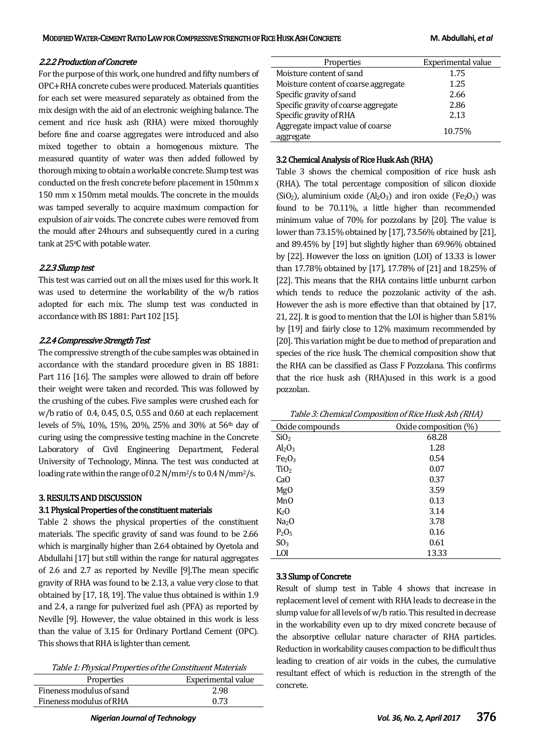#### 2.2.2 Production of Concrete

For the purpose of this work, one hundred and fifty numbers of OPC+RHA concrete cubes were produced. Materials quantities for each set were measured separately as obtained from the mix design with the aid of an electronic weighing balance. The cement and rice husk ash (RHA) were mixed thoroughly before fine and coarse aggregates were introduced and also mixed together to obtain a homogenous mixture. The measured quantity of water was then added followed by thorough mixing to obtain a workable concrete. Slump test was conducted on the fresh concrete before placement in 150mm x 150 mm x 150mm metal moulds. The concrete in the moulds was tamped severally to acquire maximum compaction for expulsion of air voids. The concrete cubes were removed from the mould after 24hours and subsequently cured in a curing tank at 25°C with potable water.

#### 2.2.3 Slump test

This test was carried out on all the mixes used for this work. It was used to determine the workability of the w/b ratios adopted for each mix. The slump test was conducted in accordance with BS 1881: Part 102 [15].

#### 2.2.4 Compressive Strength Test

The compressive strength of the cube samples was obtained in accordance with the standard procedure given in BS 1881: Part 116 [16]. The samples were allowed to drain off before their weight were taken and recorded. This was followed by the crushing of the cubes. Five samples were crushed each for w/b ratio of 0.4, 0.45, 0.5, 0.55 and 0.60 at each replacement levels of 5%, 10%, 15%, 20%, 25% and 30% at 56th day of curing using the compressive testing machine in the Concrete Laboratory of Civil Engineering Department, Federal University of Technology, Minna. The test was conducted at loading rate within the range of 0.2 N/mm2/s to 0.4 N/mm2/s.

#### 3. RESULTS AND DISCUSSION

#### 3.1 Physical Properties of the constituent materials

Table 2 shows the physical properties of the constituent materials. The specific gravity of sand was found to be 2.66 which is marginally higher than 2.64 obtained by Oyetola and Abdullahi [17] but still within the range for natural aggregates of 2.6 and 2.7 as reported by Neville [9].The mean specific gravity of RHA was found to be 2.13, a value very close to that obtained by [17, 18, 19]. The value thus obtained is within 1.9 and 2.4, a range for pulverized fuel ash (PFA) as reported by Neville [9]. However, the value obtained in this work is less than the value of 3.15 for Ordinary Portland Cement (OPC). This shows that RHA is lighter than cement.

| Properties               | Experimental value |
|--------------------------|--------------------|
| Fineness modulus of sand | 2.98               |
| Fineness modulus of RHA  | 0.73               |

| Properties                           | Experimental value |
|--------------------------------------|--------------------|
| Moisture content of sand             | 1.75               |
| Moisture content of coarse aggregate | 1.25               |
| Specific gravity of sand             | 2.66               |
| Specific gravity of coarse aggregate | 2.86               |
| Specific gravity of RHA              | 2.13               |
| Aggregate impact value of coarse     | 10.75%             |
| aggregate                            |                    |

# 3.2 Chemical Analysis of Rice Husk Ash (RHA)

Table 3 shows the chemical composition of rice husk ash (RHA). The total percentage composition of silicon dioxide (SiO<sub>2</sub>), aluminium oxide (Al<sub>2</sub>O<sub>3</sub>) and iron oxide (Fe<sub>2</sub>O<sub>3</sub>) was found to be 70.11%, a little higher than recommended minimum value of 70% for pozzolans by [20]. The value is lower than 73.15% obtained by [17], 73.56% obtained by [21], and 89.45% by [19] but slightly higher than 69.96% obtained by [22]. However the loss on ignition (LOI) of 13.33 is lower than 17.78% obtained by [17], 17.78% of [21] and 18.25% of [22]. This means that the RHA contains little unburnt carbon which tends to reduce the pozzolanic activity of the ash. However the ash is more effective than that obtained by [17, 21, 22]. It is good to mention that the LOI is higher than 5.81% by [19] and fairly close to 12% maximum recommended by [20]. This variation might be due to method of preparation and species of the rice husk. The chemical composition show that the RHA can be classified as Class F Pozzolana. This confirms that the rice husk ash (RHA)used in this work is a good pozzolan.

Table 3: Chemical Composition of Rice Husk Ash (RHA)

|                                | `<br>╭                |
|--------------------------------|-----------------------|
| Oxide compounds                | Oxide composition (%) |
| SiO <sub>2</sub>               | 68.28                 |
| Al <sub>2</sub> O <sub>3</sub> | 1.28                  |
| Fe <sub>2</sub> O <sub>3</sub> | 0.54                  |
| TiO <sub>2</sub>               | 0.07                  |
| Ca <sub>O</sub>                | 0.37                  |
| Mg <sub>0</sub>                | 3.59                  |
| Mn <sub>O</sub>                | 0.13                  |
| K <sub>2</sub> O               | 3.14                  |
| Na <sub>2</sub> O              | 3.78                  |
| $P_2O_5$                       | 0.16                  |
| SO <sub>3</sub>                | 0.61                  |
| LOI                            | 13.33                 |

#### 3.3 Slump of Concrete

Result of slump test in Table 4 shows that increase in replacement level of cement with RHA leads to decrease in the slump value for all levels of w/b ratio. This resulted in decrease in the workability even up to dry mixed concrete because of the absorptive cellular nature character of RHA particles. Reduction in workability causes compaction to be difficult thus leading to creation of air voids in the cubes, the cumulative resultant effect of which is reduction in the strength of the concrete.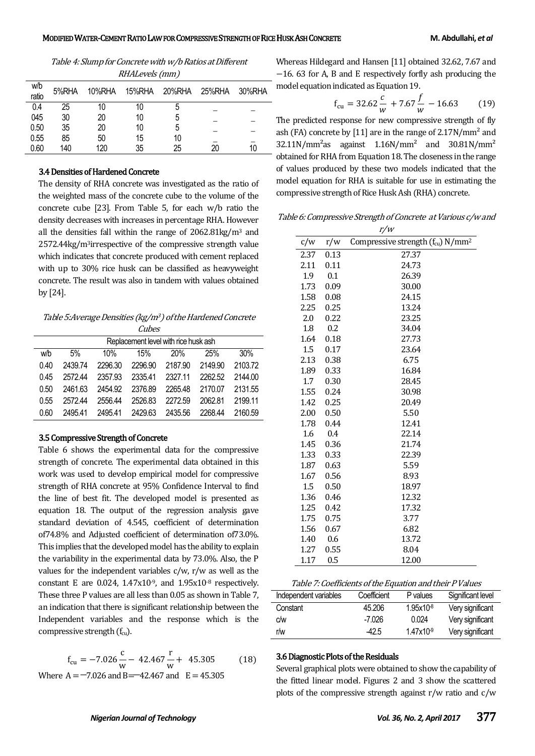Table 4: Slump for Concrete with w/b Ratios at Different RHALevels (mm)

| w/b<br>ratio | 5%RHA | 10%RHA | 15%RHA | 20%RHA | 25%RHA | 30%RHA |
|--------------|-------|--------|--------|--------|--------|--------|
| 0.4          | 25    | 10     | 10     | b      |        |        |
| 045          | 30    | 20     | 10     | 5      |        |        |
| 0.50         | 35    | 20     | 10     | 5      |        |        |
| 0.55         | 85    | 50     | 15     | 10     |        |        |
| 0.60         | 140   | 120    | 35     | 25     | 20     | 10     |

#### 3.4 Densities of Hardened Concrete

The density of RHA concrete was investigated as the ratio of the weighted mass of the concrete cube to the volume of the concrete cube [23]. From Table 5, for each w/b ratio the density decreases with increases in percentage RHA. However all the densities fall within the range of 2062.81kg/m<sup>3</sup> and 2572.44kg/m3irrespective of the compressive strength value which indicates that concrete produced with cement replaced with up to 30% rice husk can be classified as heavyweight concrete. The result was also in tandem with values obtained by [24].

Table 5: Average Densities (kg/m<sup>3</sup>) of the Hardened Concrete **Cubes** 

| Replacement level with rice husk ash |         |         |         |         |         |         |
|--------------------------------------|---------|---------|---------|---------|---------|---------|
| w/b                                  | 5%      | 10%     | 15%     | 20%     | 25%     | 30%     |
| 0.40                                 | 2439.74 | 2296.30 | 2296.90 | 2187.90 | 2149.90 | 2103.72 |
| 0.45                                 | 2572.44 | 2357.93 | 2335.41 | 2327 11 | 2262.52 | 2144.00 |
| 0.50                                 | 2461.63 | 2454.92 | 2376.89 | 2265.48 | 2170.07 | 2131.55 |
| 0.55                                 | 257244  | 2556.44 | 2526.83 | 2272.59 | 2062.81 | 2199.11 |
| 0.60                                 | 2495.41 | 2495.41 | 2429.63 | 2435.56 | 2268.44 | 2160.59 |

#### 3.5 Compressive Strength of Concrete

Table 6 shows the experimental data for the compressive strength of concrete. The experimental data obtained in this work was used to develop empirical model for compressive strength of RHA concrete at 95% Confidence Interval to find the line of best fit. The developed model is presented as equation 18. The output of the regression analysis gave standard deviation of 4.545, coefficient of determination of74.8% and Adjusted coefficient of determination of73.0%. This implies that the developed model has the ability to explain the variability in the experimental data by 73.0%. Also, the P values for the independent variables  $c/w$ ,  $r/w$  as well as the constant E are 0.024,  $1.47x10^{-9}$ , and  $1.95x10^{-8}$  respectively. These three P values are all less than 0.05 as shown in Table 7, an indication that there is significant relationship between the Independent variables and the response which is the compressive strength  $(f_{cu})$ .

$$
f_{\text{cu}} = -7.026 \frac{\text{c}}{\text{w}} - 42.467 \frac{\text{r}}{\text{w}} + 45.305 \tag{18}
$$

Where  $A = -7.026$  and  $B = -42.467$  and  $E = 45.305$ 

Whereas Hildegard and Hansen [11] obtained 32.62, 7.67 and  $-16.$  63 for A, B and E respectively forfly ash producing the model equation indicated as Equation 19.

$$
f_{\text{cu}} = 32.62 \frac{c}{w} + 7.67 \frac{f}{w} - 16.63 \tag{19}
$$

The predicted response for new compressive strength of fly ash (FA) concrete by [11] are in the range of  $2.17N/mm<sup>2</sup>$  and  $32.11$ N/mm<sup>2</sup>as against  $1.16$ N/mm<sup>2</sup> and  $30.81$ N/mm<sup>2</sup> obtained for RHA from Equation 18. The closeness in the range of values produced by these two models indicated that the model equation for RHA is suitable for use in estimating the compressive strength of Rice Husk Ash (RHA) concrete.

Table 6: Compressive Strength of Concrete at Various c/w and

|      |      | r/w                                          |
|------|------|----------------------------------------------|
| c/w  | r/w  | Compressive strength (fcu) N/mm <sup>2</sup> |
| 2.37 | 0.13 | 27.37                                        |
| 2.11 | 0.11 | 24.73                                        |
| 1.9  | 0.1  | 26.39                                        |
| 1.73 | 0.09 | 30.00                                        |
| 1.58 | 0.08 | 24.15                                        |
| 2.25 | 0.25 | 13.24                                        |
| 2.0  | 0.22 | 23.25                                        |
| 1.8  | 0.2  | 34.04                                        |
| 1.64 | 0.18 | 27.73                                        |
| 1.5  | 0.17 | 23.64                                        |
| 2.13 | 0.38 | 6.75                                         |
| 1.89 | 0.33 | 16.84                                        |
| 1.7  | 0.30 | 28.45                                        |
| 1.55 | 0.24 | 30.98                                        |
| 1.42 | 0.25 | 20.49                                        |
| 2.00 | 0.50 | 5.50                                         |
| 1.78 | 0.44 | 12.41                                        |
| 1.6  | 0.4  | 22.14                                        |
| 1.45 | 0.36 | 21.74                                        |
| 1.33 | 0.33 | 22.39                                        |
| 1.87 | 0.63 | 5.59                                         |
| 1.67 | 0.56 | 8.93                                         |
| 1.5  | 0.50 | 18.97                                        |
| 1.36 | 0.46 | 12.32                                        |
| 1.25 | 0.42 | 17.32                                        |
| 1.75 | 0.75 | 3.77                                         |
| 1.56 | 0.67 | 6.82                                         |
| 1.40 | 0.6  | 13.72                                        |
| 1.27 | 0.55 | 8.04                                         |
| 1.17 | 0.5  | 12.00                                        |

Table 7: Coefficients of the Equation and their P Values

| Independent variables | Coefficient | P values  | Significant level |
|-----------------------|-------------|-----------|-------------------|
| Constant              | 45.206      | 1.95x10-8 | Very significant  |
| c/w                   | -7.026      | 0.024     | Very significant  |
| r/w                   | -42.5       | 1.47x109  | Very significant  |

#### 3.6 Diagnostic Plots of the Residuals

Several graphical plots were obtained to show the capability of the fitted linear model. Figures 2 and 3 show the scattered plots of the compressive strength against r/w ratio and c/w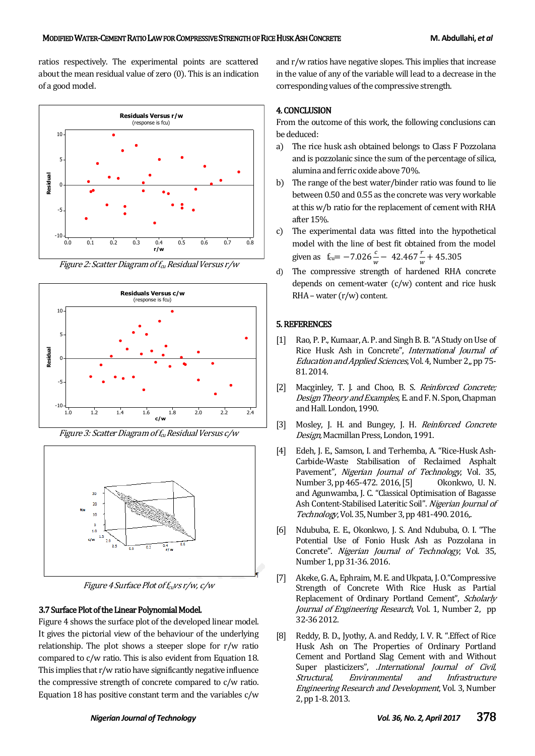ratios respectively. The experimental points are scattered about the mean residual value of zero (0). This is an indication of a good model.



Figure 2: Scatter Diagram of  $f_{cu}$  Residual Versus r/w







Figure 4 Surface Plot of  $f_{cu}$ vs r/w, c/w

#### 3.7 Surface Plot of the Linear Polynomial Model.

Figure 4 shows the surface plot of the developed linear model. It gives the pictorial view of the behaviour of the underlying relationship. The plot shows a steeper slope for r/w ratio compared to c/w ratio. This is also evident from Equation 18. This implies that r/w ratio have significantly negative influence the compressive strength of concrete compared to c/w ratio. Equation 18 has positive constant term and the variables c/w

and r/w ratios have negative slopes. This implies that increase in the value of any of the variable will lead to a decrease in the corresponding values of the compressive strength.

#### 4. CONCLUSION

From the outcome of this work, the following conclusions can be deduced:

- a) The rice husk ash obtained belongs to Class F Pozzolana and is pozzolanic since the sum of the percentage of silica, alumina and ferric oxide above 70%.
- b) The range of the best water/binder ratio was found to lie between 0.50 and 0.55 as the concrete was very workable at this w/b ratio for the replacement of cement with RHA after 15%.
- c) The experimental data was fitted into the hypothetical model with the line of best fit obtained from the model given as  $f_{\text{cu}} = -7.026 \frac{c}{w} - 42.467 \frac{c}{w} + 45.3$
- d) The compressive strength of hardened RHA concrete depends on cement-water (c/w) content and rice husk  $RHA$  – water  $(r/w)$  content.

#### 5. REFERENCES

- [1] Rao, P. P., Kumaar, A. P. and Singh B. B. "A Study on Use of Rice Husk Ash in Concrete", International Journal of Education and Applied Sciences, Vol. 4, Number 2,, pp 75- 81. 2014.
- [2] Macginley, T. J. and Choo, B. S. Reinforced Concrete; Design Theory and Examples, E. and F. N. Spon, Chapman and Hall. London, 1990.
- [3] Mosley, J. H. and Bungey, J. H. Reinforced Concrete Design, Macmillan Press, London, 1991.
- [4] Edeh, J. E., Samson, I. and Terhemba, A. "Rice-Husk Ash-Carbide-Waste Stabilisation of Reclaimed Asphalt Pavement", Nigerian Journal of Technology, Vol. 35, Number 3, pp 465-472. 2016,[5] Okonkwo, U. N. and Agunwamba, J. C. "Classical Optimisation of Bagasse Ash Content-Stabilised Lateritic Soil". Nigerian Journal of Technology, Vol. 35, Number 3, pp 481-490. 2016,.
- [6] Ndububa, E. E., Okonkwo, J. S. And Ndububa, O. I. "The Potential Use of Fonio Husk Ash as Pozzolana in Concrete". Nigerian Journal of Technology, Vol. 35, Number 1, pp 31-36. 2016.
- [7] Akeke, G. A., Ephraim, M. E. and Ukpata, J. O."Compressive Strength of Concrete With Rice Husk as Partial Replacement of Ordinary Portland Cement", Scholarly Journal of Engineering Research, Vol. 1, Number 2, pp 32-36 2012.
- [8] Reddy, B. D., Jyothy, A. and Reddy, I. V. R. ". Effect of Rice Husk Ash on The Properties of Ordinary Portland Cement and Portland Slag Cement with and Without Super plasticizers", .*International Journal of Civil,* Structural, Environmental and Infrastructure Engineering Research and Development, Vol. 3, Number 2, pp 1-8. 2013.